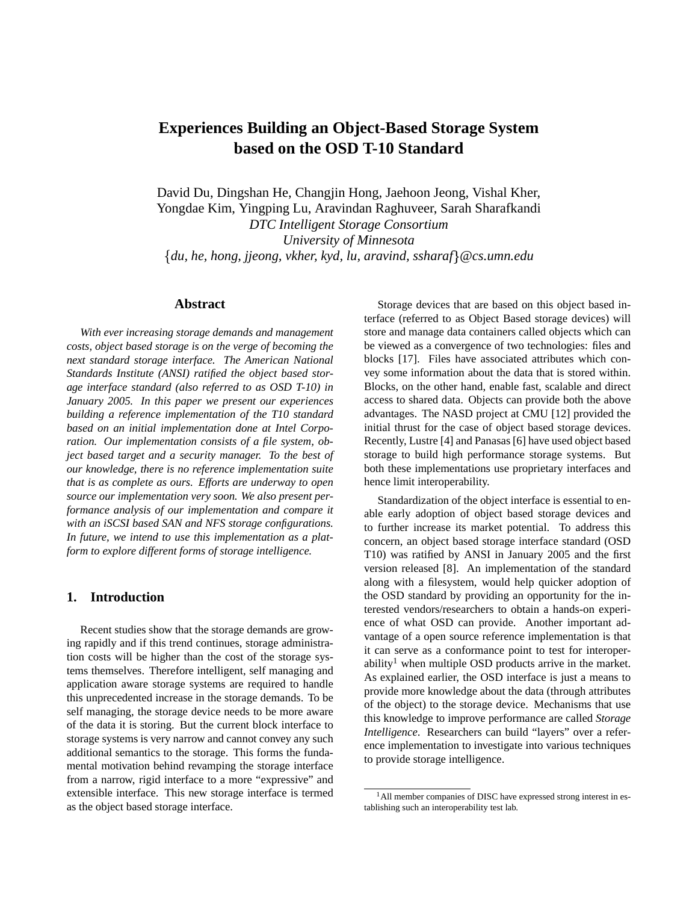# **Experiences Building an Object-Based Storage System based on the OSD T-10 Standard**

David Du, Dingshan He, Changjin Hong, Jaehoon Jeong, Vishal Kher, Yongdae Kim, Yingping Lu, Aravindan Raghuveer, Sarah Sharafkandi *DTC Intelligent Storage Consortium du, he, hong, jjeong, vkher, kyd, lu, aravind, ssharaf@cs.umn.edu University of Minnesota*

#### **Abstract**

*With ever increasing storage demands and management costs, object based storage is on the verge of becoming the next standard storage interface. The American National Standards Institute (ANSI) ratified the object based storage interface standard (also referred to as OSD T-10) in January 2005. In this paper we present our experiences building a reference implementation of the T10 standard based on an initial implementation done at Intel Corporation. Our implementation consists of a file system, object based target and a security manager. To the best of our knowledge, there is no reference implementation suite that is as complete as ours. Efforts are underway to open source our implementation very soon. We also present performance analysis of our implementation and compare it with an iSCSI based SAN and NFS storage configurations. In future, we intend to use this implementation as a platform to explore different forms of storage intelligence.*

# **1. Introduction**

Recent studies show that the storage demands are growing rapidly and if this trend continues, storage administration costs will be higher than the cost of the storage systems themselves. Therefore intelligent, self managing and application aware storage systems are required to handle this unprecedented increase in the storage demands. To be self managing, the storage device needs to be more aware of the data it is storing. But the current block interface to storage systems is very narrow and cannot convey any such additional semantics to the storage. This forms the fundamental motivation behind revamping the storage interface from a narrow, rigid interface to a more "expressive" and extensible interface. This new storage interface is termed as the object based storage interface.

Storage devices that are based on this object based interface (referred to as Object Based storage devices) will store and manage data containers called objects which can be viewed as a convergence of two technologies: files and blocks [17]. Files have associated attributes which convey some information about the data that is stored within. Blocks, on the other hand, enable fast, scalable and direct access to shared data. Objects can provide both the above advantages. The NASD project at CMU [12] provided the initial thrust for the case of object based storage devices. Recently, Lustre [4] and Panasas [6] have used object based storage to build high performance storage systems. But both these implementations use proprietary interfaces and hence limit interoperability.

Standardization of the object interface is essential to enable early adoption of object based storage devices and to further increase its market potential. To address this concern, an object based storage interface standard (OSD T10) was ratified by ANSI in January 2005 and the first version released [8]. An implementation of the standard along with a filesystem, would help quicker adoption of the OSD standard by providing an opportunity for the interested vendors/researchers to obtain a hands-on experience of what OSD can provide. Another important advantage of a open source reference implementation is that it can serve as a conformance point to test for interoperability<sup>1</sup> when multiple OSD products arrive in the market. As explained earlier, the OSD interface is just a means to provide more knowledge about the data (through attributes of the object) to the storage device. Mechanisms that use this knowledge to improve performance are called *Storage Intelligence*. Researchers can build "layers" over a reference implementation to investigate into various techniques to provide storage intelligence.

<sup>&</sup>lt;sup>1</sup>All member companies of DISC have expressed strong interest in establishing such an interoperability test lab.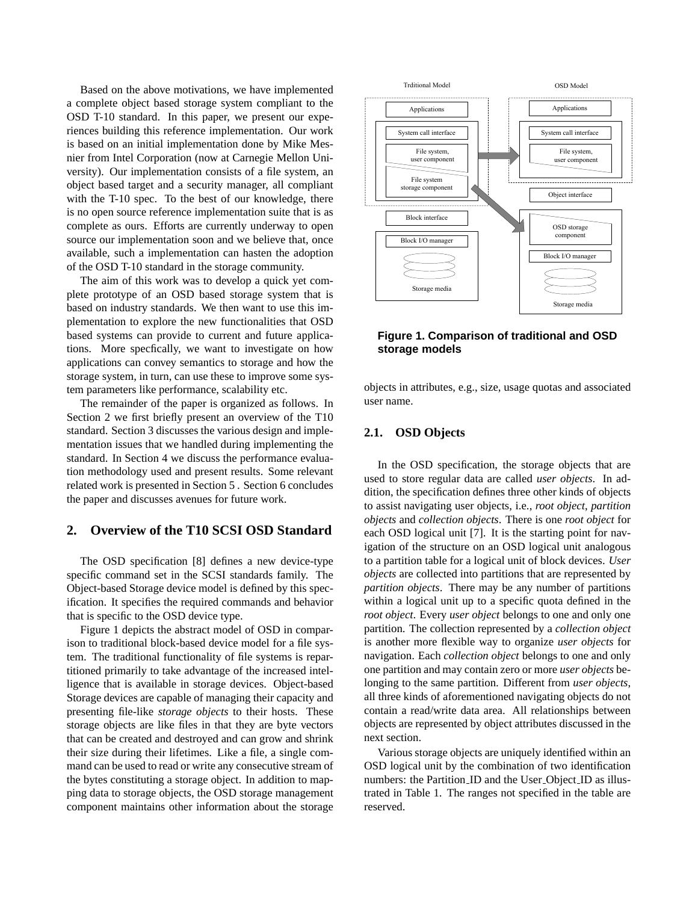Based on the above motivations, we have implemented a complete object based storage system compliant to the OSD T-10 standard. In this paper, we present our experiences building this reference implementation. Our work is based on an initial implementation done by Mike Mesnier from Intel Corporation (now at Carnegie Mellon University). Our implementation consists of a file system, an object based target and a security manager, all compliant with the T-10 spec. To the best of our knowledge, there is no open source reference implementation suite that is as complete as ours. Efforts are currently underway to open source our implementation soon and we believe that, once available, such a implementation can hasten the adoption of the OSD T-10 standard in the storage community.

The aim of this work was to develop a quick yet complete prototype of an OSD based storage system that is based on industry standards. We then want to use this implementation to explore the new functionalities that OSD based systems can provide to current and future applications. More specfically, we want to investigate on how applications can convey semantics to storage and how the storage system, in turn, can use these to improve some system parameters like performance, scalability etc.

The remainder of the paper is organized as follows. In Section 2 we first briefly present an overview of the T10 standard. Section 3 discusses the various design and implementation issues that we handled during implementing the standard. In Section 4 we discuss the performance evaluation methodology used and present results. Some relevant related work is presented in Section 5 . Section 6 concludes the paper and discusses avenues for future work.

## **2. Overview of the T10 SCSI OSD Standard**

The OSD specification [8] defines a new device-type specific command set in the SCSI standards family. The Object-based Storage device model is defined by this specification. It specifies the required commands and behavior that is specific to the OSD device type.

Figure 1 depicts the abstract model of OSD in comparison to traditional block-based device model for a file system. The traditional functionality of file systems is repartitioned primarily to take advantage of the increased intelligence that is available in storage devices. Object-based Storage devices are capable of managing their capacity and presenting file-like *storage objects* to their hosts. These storage objects are like files in that they are byte vectors that can be created and destroyed and can grow and shrink their size during their lifetimes. Like a file, a single command can be used to read or write any consecutive stream of the bytes constituting a storage object. In addition to mapping data to storage objects, the OSD storage management component maintains other information about the storage



# **Figure 1. Comparison of traditional and OSD storage models**

objects in attributes, e.g., size, usage quotas and associated user name.

# **2.1. OSD Objects**

In the OSD specification, the storage objects that are used to store regular data are called *user objects*. In addition, the specification defines three other kinds of objects to assist navigating user objects, i.e., *root object*, *partition objects* and *collection objects*. There is one *root object* for each OSD logical unit [7]. It is the starting point for navigation of the structure on an OSD logical unit analogous to a partition table for a logical unit of block devices. *User objects* are collected into partitions that are represented by *partition objects*. There may be any number of partitions within a logical unit up to a specific quota defined in the *root object*. Every *user object* belongs to one and only one partition. The collection represented by a *collection object* is another more flexible way to organize *user objects* for navigation. Each *collection object* belongs to one and only one partition and may contain zero or more *user objects* belonging to the same partition. Different from *user objects*, all three kinds of aforementioned navigating objects do not contain a read/write data area. All relationships between objects are represented by object attributes discussed in the next section.

Various storage objects are uniquely identified within an OSD logical unit by the combination of two identification numbers: the Partition ID and the User Object ID as illustrated in Table 1. The ranges not specified in the table are reserved.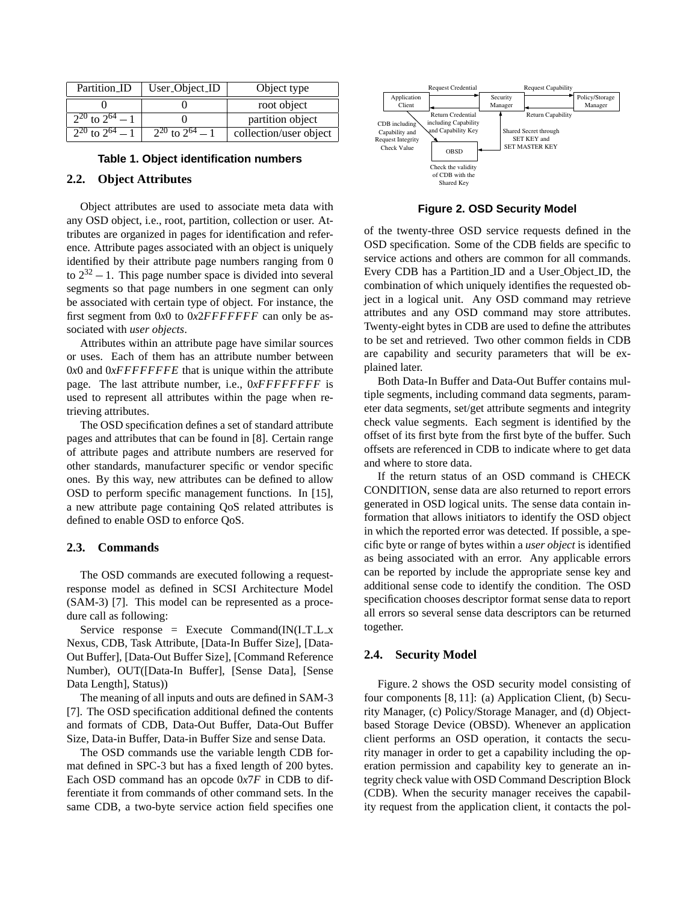| Partition ID             | User Object ID       | Object type            |
|--------------------------|----------------------|------------------------|
|                          |                      | root object            |
| $2^{20}$ to $2^{64} - 1$ |                      | partition object       |
| $2^{20}$ to $2^{64}$ – 1 | $2^{20}$ to $2^{64}$ | collection/user object |

#### **Table 1. Object identification numbers**

#### **2.2. Object Attributes**

Object attributes are used to associate meta data with any OSD object, i.e., root, partition, collection or user. Attributes are organized in pages for identification and reference. Attribute pages associated with an object is uniquely identified by their attribute page numbers ranging from 0 to  $2^{32} - 1$ . This page number space is divided into several segments so that page numbers in one segment can only be associated with certain type of object. For instance, the first segment from 0*x*0 to 0*x*2*FFFFFFF* can only be associated with *user objects*.

Attributes within an attribute page have similar sources or uses. Each of them has an attribute number between 0*x*0 and 0*xFFFFFFFE* that is unique within the attribute page. The last attribute number, i.e., 0*xFFFFFFFF* is used to represent all attributes within the page when retrieving attributes.

The OSD specification defines a set of standard attribute pages and attributes that can be found in [8]. Certain range of attribute pages and attribute numbers are reserved for other standards, manufacturer specific or vendor specific ones. By this way, new attributes can be defined to allow OSD to perform specific management functions. In [15], a new attribute page containing QoS related attributes is defined to enable OSD to enforce QoS.

## **2.3. Commands**

The OSD commands are executed following a requestresponse model as defined in SCSI Architecture Model (SAM-3) [7]. This model can be represented as a procedure call as following:

Service response = Execute Command( $IN(IITL.x)$ Nexus, CDB, Task Attribute, [Data-In Buffer Size], [Data-Out Buffer], [Data-Out Buffer Size], [Command Reference Number), OUT([Data-In Buffer], [Sense Data], [Sense Data Length], Status))

The meaning of all inputs and outs are defined in SAM-3 [7]. The OSD specification additional defined the contents and formats of CDB, Data-Out Buffer, Data-Out Buffer Size, Data-in Buffer, Data-in Buffer Size and sense Data.

The OSD commands use the variable length CDB format defined in SPC-3 but has a fixed length of 200 bytes. Each OSD command has an opcode 0*x*7*F* in CDB to differentiate it from commands of other command sets. In the same CDB, a two-byte service action field specifies one



**Figure 2. OSD Security Model**

of the twenty-three OSD service requests defined in the OSD specification. Some of the CDB fields are specific to service actions and others are common for all commands. Every CDB has a Partition ID and a User Object ID, the combination of which uniquely identifies the requested object in a logical unit. Any OSD command may retrieve attributes and any OSD command may store attributes. Twenty-eight bytes in CDB are used to define the attributes to be set and retrieved. Two other common fields in CDB are capability and security parameters that will be explained later.

Both Data-In Buffer and Data-Out Buffer contains multiple segments, including command data segments, parameter data segments, set/get attribute segments and integrity check value segments. Each segment is identified by the offset of its first byte from the first byte of the buffer. Such offsets are referenced in CDB to indicate where to get data and where to store data.

If the return status of an OSD command is CHECK CONDITION, sense data are also returned to report errors generated in OSD logical units. The sense data contain information that allows initiators to identify the OSD object in which the reported error was detected. If possible, a specific byte or range of bytes within a *user object* is identified as being associated with an error. Any applicable errors can be reported by include the appropriate sense key and additional sense code to identify the condition. The OSD specification chooses descriptor format sense data to report all errors so several sense data descriptors can be returned together.

## **2.4. Security Model**

Figure. 2 shows the OSD security model consisting of four components [8, 11]: (a) Application Client, (b) Security Manager, (c) Policy/Storage Manager, and (d) Objectbased Storage Device (OBSD). Whenever an application client performs an OSD operation, it contacts the security manager in order to get a capability including the operation permission and capability key to generate an integrity check value with OSD Command Description Block (CDB). When the security manager receives the capability request from the application client, it contacts the pol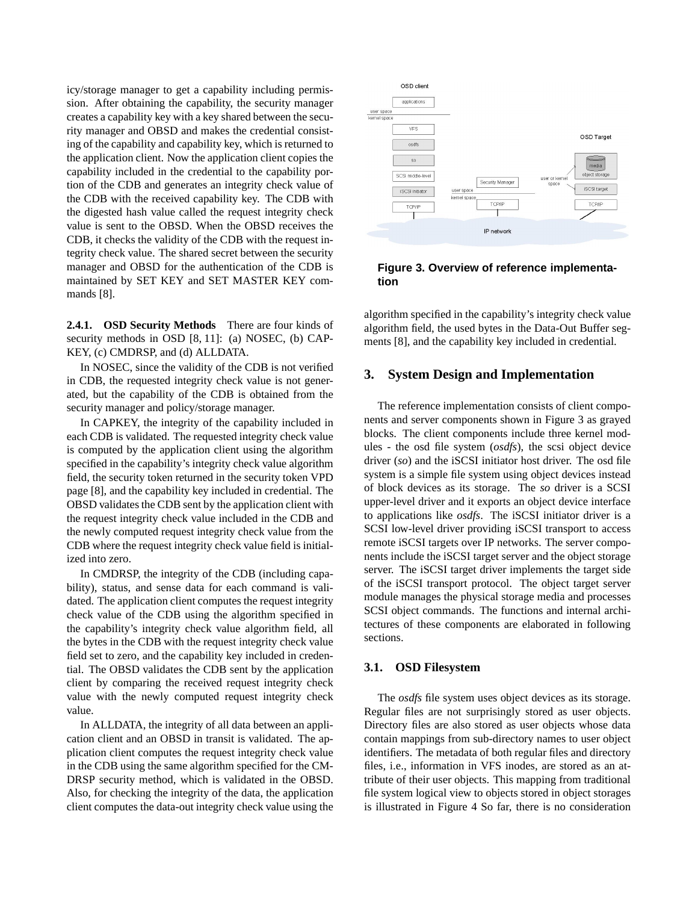icy/storage manager to get a capability including permission. After obtaining the capability, the security manager creates a capability key with a key shared between the security manager and OBSD and makes the credential consisting of the capability and capability key, which is returned to the application client. Now the application client copies the capability included in the credential to the capability portion of the CDB and generates an integrity check value of the CDB with the received capability key. The CDB with the digested hash value called the request integrity check value is sent to the OBSD. When the OBSD receives the CDB, it checks the validity of the CDB with the request integrity check value. The shared secret between the security manager and OBSD for the authentication of the CDB is maintained by SET KEY and SET MASTER KEY commands [8].

**2.4.1. OSD Security Methods** There are four kinds of security methods in OSD [8, 11]: (a) NOSEC, (b) CAP-KEY, (c) CMDRSP, and (d) ALLDATA.

In NOSEC, since the validity of the CDB is not verified in CDB, the requested integrity check value is not generated, but the capability of the CDB is obtained from the security manager and policy/storage manager.

In CAPKEY, the integrity of the capability included in each CDB is validated. The requested integrity check value is computed by the application client using the algorithm specified in the capability's integrity check value algorithm field, the security token returned in the security token VPD page [8], and the capability key included in credential. The OBSD validates the CDB sent by the application client with the request integrity check value included in the CDB and the newly computed request integrity check value from the CDB where the request integrity check value field is initialized into zero.

In CMDRSP, the integrity of the CDB (including capability), status, and sense data for each command is validated. The application client computes the request integrity check value of the CDB using the algorithm specified in the capability's integrity check value algorithm field, all the bytes in the CDB with the request integrity check value field set to zero, and the capability key included in credential. The OBSD validates the CDB sent by the application client by comparing the received request integrity check value with the newly computed request integrity check value.

In ALLDATA, the integrity of all data between an application client and an OBSD in transit is validated. The application client computes the request integrity check value in the CDB using the same algorithm specified for the CM-DRSP security method, which is validated in the OBSD. Also, for checking the integrity of the data, the application client computes the data-out integrity check value using the



**Figure 3. Overview of reference implementation**

algorithm specified in the capability's integrity check value algorithm field, the used bytes in the Data-Out Buffer segments [8], and the capability key included in credential.

# **3. System Design and Implementation**

The reference implementation consists of client components and server components shown in Figure 3 as grayed blocks. The client components include three kernel modules - the osd file system (*osdfs*), the scsi object device driver (*so*) and the iSCSI initiator host driver. The osd file system is a simple file system using object devices instead of block devices as its storage. The *so* driver is a SCSI upper-level driver and it exports an object device interface to applications like *osdfs*. The iSCSI initiator driver is a SCSI low-level driver providing iSCSI transport to access remote iSCSI targets over IP networks. The server components include the iSCSI target server and the object storage server. The iSCSI target driver implements the target side of the iSCSI transport protocol. The object target server module manages the physical storage media and processes SCSI object commands. The functions and internal architectures of these components are elaborated in following sections.

#### **3.1. OSD Filesystem**

The *osdfs* file system uses object devices as its storage. Regular files are not surprisingly stored as user objects. Directory files are also stored as user objects whose data contain mappings from sub-directory names to user object identifiers. The metadata of both regular files and directory files, i.e., information in VFS inodes, are stored as an attribute of their user objects. This mapping from traditional file system logical view to objects stored in object storages is illustrated in Figure 4 So far, there is no consideration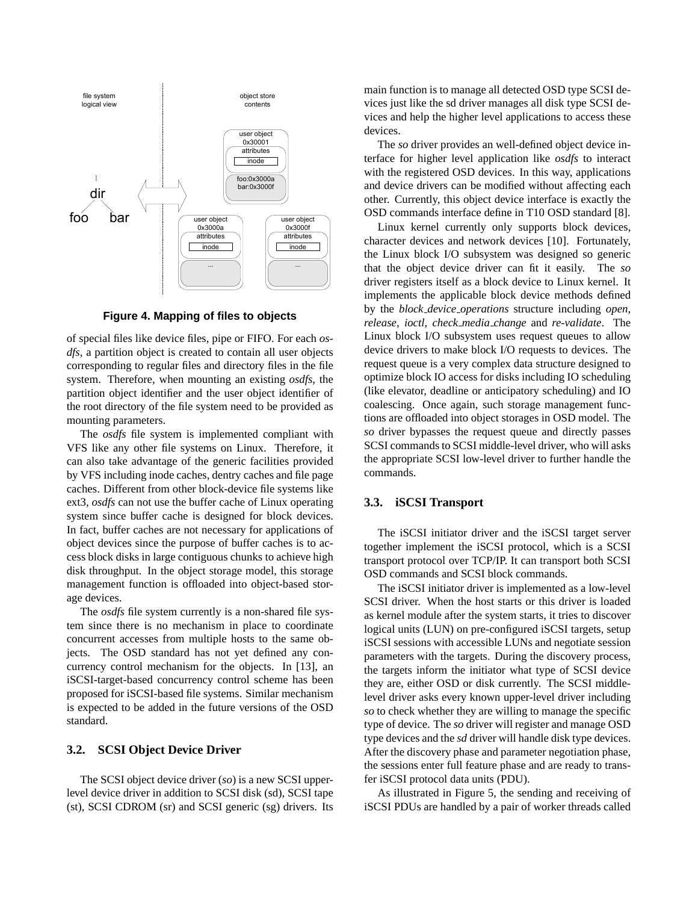

**Figure 4. Mapping of files to objects**

of special files like device files, pipe or FIFO. For each *osdfs*, a partition object is created to contain all user objects corresponding to regular files and directory files in the file system. Therefore, when mounting an existing *osdfs*, the partition object identifier and the user object identifier of the root directory of the file system need to be provided as mounting parameters.

The *osdfs* file system is implemented compliant with VFS like any other file systems on Linux. Therefore, it can also take advantage of the generic facilities provided by VFS including inode caches, dentry caches and file page caches. Different from other block-device file systems like ext3, *osdfs* can not use the buffer cache of Linux operating system since buffer cache is designed for block devices. In fact, buffer caches are not necessary for applications of object devices since the purpose of buffer caches is to access block disks in large contiguous chunks to achieve high disk throughput. In the object storage model, this storage management function is offloaded into object-based storage devices.

The *osdfs* file system currently is a non-shared file system since there is no mechanism in place to coordinate concurrent accesses from multiple hosts to the same objects. The OSD standard has not yet defined any concurrency control mechanism for the objects. In [13], an iSCSI-target-based concurrency control scheme has been proposed for iSCSI-based file systems. Similar mechanism is expected to be added in the future versions of the OSD standard.

## **3.2. SCSI Object Device Driver**

The SCSI object device driver (*so*) is a new SCSI upperlevel device driver in addition to SCSI disk (sd), SCSI tape (st), SCSI CDROM (sr) and SCSI generic (sg) drivers. Its main function is to manage all detected OSD type SCSI devices just like the sd driver manages all disk type SCSI devices and help the higher level applications to access these devices.

The *so* driver provides an well-defined object device interface for higher level application like *osdfs* to interact with the registered OSD devices. In this way, applications and device drivers can be modified without affecting each other. Currently, this object device interface is exactly the OSD commands interface define in T10 OSD standard [8].

Linux kernel currently only supports block devices, character devices and network devices [10]. Fortunately, the Linux block I/O subsystem was designed so generic that the object device driver can fit it easily. The *so* driver registers itself as a block device to Linux kernel. It implements the applicable block device methods defined by the *block device operations* structure including *open*, *release*, *ioctl*, *check media change* and *re-validate*. The Linux block I/O subsystem uses request queues to allow device drivers to make block I/O requests to devices. The request queue is a very complex data structure designed to optimize block IO access for disks including IO scheduling (like elevator, deadline or anticipatory scheduling) and IO coalescing. Once again, such storage management functions are offloaded into object storages in OSD model. The *so* driver bypasses the request queue and directly passes SCSI commands to SCSI middle-level driver, who will asks the appropriate SCSI low-level driver to further handle the commands.

#### **3.3. iSCSI Transport**

The iSCSI initiator driver and the iSCSI target server together implement the iSCSI protocol, which is a SCSI transport protocol over TCP/IP. It can transport both SCSI OSD commands and SCSI block commands.

The iSCSI initiator driver is implemented as a low-level SCSI driver. When the host starts or this driver is loaded as kernel module after the system starts, it tries to discover logical units (LUN) on pre-configured iSCSI targets, setup iSCSI sessions with accessible LUNs and negotiate session parameters with the targets. During the discovery process, the targets inform the initiator what type of SCSI device they are, either OSD or disk currently. The SCSI middlelevel driver asks every known upper-level driver including *so* to check whether they are willing to manage the specific type of device. The *so* driver will register and manage OSD type devices and the *sd* driver will handle disk type devices. After the discovery phase and parameter negotiation phase, the sessions enter full feature phase and are ready to transfer iSCSI protocol data units (PDU).

As illustrated in Figure 5, the sending and receiving of iSCSI PDUs are handled by a pair of worker threads called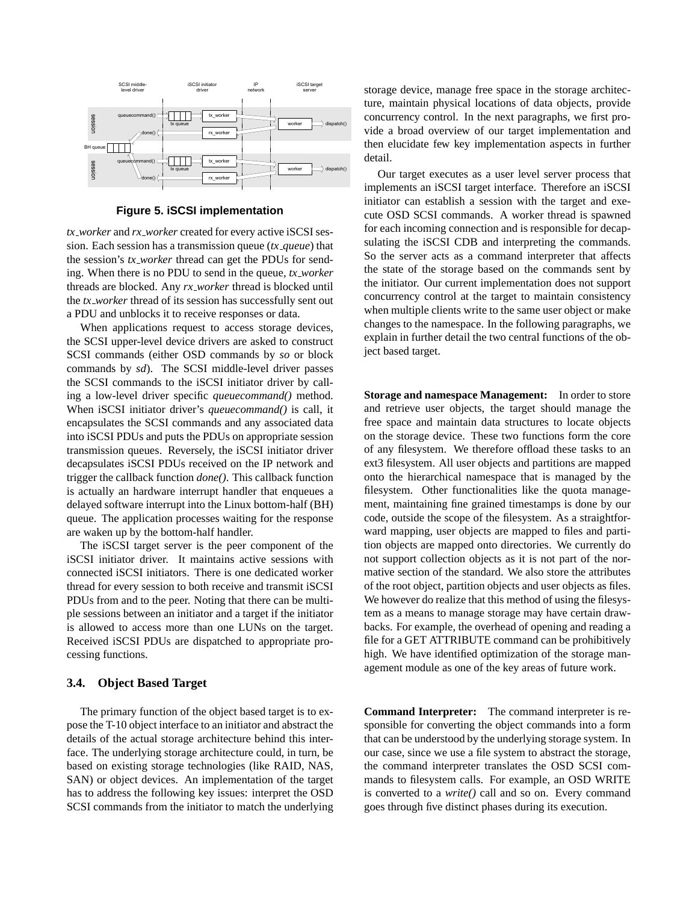

**Figure 5. iSCSI implementation**

*tx worker* and *rx worker* created for every active iSCSI session. Each session has a transmission queue (*tx queue*) that the session's *tx worker* thread can get the PDUs for sending. When there is no PDU to send in the queue, *tx worker* threads are blocked. Any *rx worker* thread is blocked until the *tx worker* thread of its session has successfully sent out a PDU and unblocks it to receive responses or data.

When applications request to access storage devices, the SCSI upper-level device drivers are asked to construct SCSI commands (either OSD commands by *so* or block commands by *sd*). The SCSI middle-level driver passes the SCSI commands to the iSCSI initiator driver by calling a low-level driver specific *queuecommand()* method. When iSCSI initiator driver's *queuecommand()* is call, it encapsulates the SCSI commands and any associated data into iSCSI PDUs and puts the PDUs on appropriate session transmission queues. Reversely, the iSCSI initiator driver decapsulates iSCSI PDUs received on the IP network and trigger the callback function *done()*. This callback function is actually an hardware interrupt handler that enqueues a delayed software interrupt into the Linux bottom-half (BH) queue. The application processes waiting for the response are waken up by the bottom-half handler.

The iSCSI target server is the peer component of the iSCSI initiator driver. It maintains active sessions with connected iSCSI initiators. There is one dedicated worker thread for every session to both receive and transmit iSCSI PDUs from and to the peer. Noting that there can be multiple sessions between an initiator and a target if the initiator is allowed to access more than one LUNs on the target. Received iSCSI PDUs are dispatched to appropriate processing functions.

## **3.4. Object Based Target**

The primary function of the object based target is to expose the T-10 object interface to an initiator and abstract the details of the actual storage architecture behind this interface. The underlying storage architecture could, in turn, be based on existing storage technologies (like RAID, NAS, SAN) or object devices. An implementation of the target has to address the following key issues: interpret the OSD SCSI commands from the initiator to match the underlying storage device, manage free space in the storage architecture, maintain physical locations of data objects, provide concurrency control. In the next paragraphs, we first provide a broad overview of our target implementation and then elucidate few key implementation aspects in further detail.

Our target executes as a user level server process that implements an iSCSI target interface. Therefore an iSCSI initiator can establish a session with the target and execute OSD SCSI commands. A worker thread is spawned for each incoming connection and is responsible for decapsulating the iSCSI CDB and interpreting the commands. So the server acts as a command interpreter that affects the state of the storage based on the commands sent by the initiator. Our current implementation does not support concurrency control at the target to maintain consistency when multiple clients write to the same user object or make changes to the namespace. In the following paragraphs, we explain in further detail the two central functions of the object based target.

**Storage and namespace Management:** In order to store and retrieve user objects, the target should manage the free space and maintain data structures to locate objects on the storage device. These two functions form the core of any filesystem. We therefore offload these tasks to an ext3 filesystem. All user objects and partitions are mapped onto the hierarchical namespace that is managed by the filesystem. Other functionalities like the quota management, maintaining fine grained timestamps is done by our code, outside the scope of the filesystem. As a straightforward mapping, user objects are mapped to files and partition objects are mapped onto directories. We currently do not support collection objects as it is not part of the normative section of the standard. We also store the attributes of the root object, partition objects and user objects as files. We however do realize that this method of using the filesystem as a means to manage storage may have certain drawbacks. For example, the overhead of opening and reading a file for a GET ATTRIBUTE command can be prohibitively high. We have identified optimization of the storage management module as one of the key areas of future work.

**Command Interpreter:** The command interpreter is responsible for converting the object commands into a form that can be understood by the underlying storage system. In our case, since we use a file system to abstract the storage, the command interpreter translates the OSD SCSI commands to filesystem calls. For example, an OSD WRITE is converted to a *write()* call and so on. Every command goes through five distinct phases during its execution.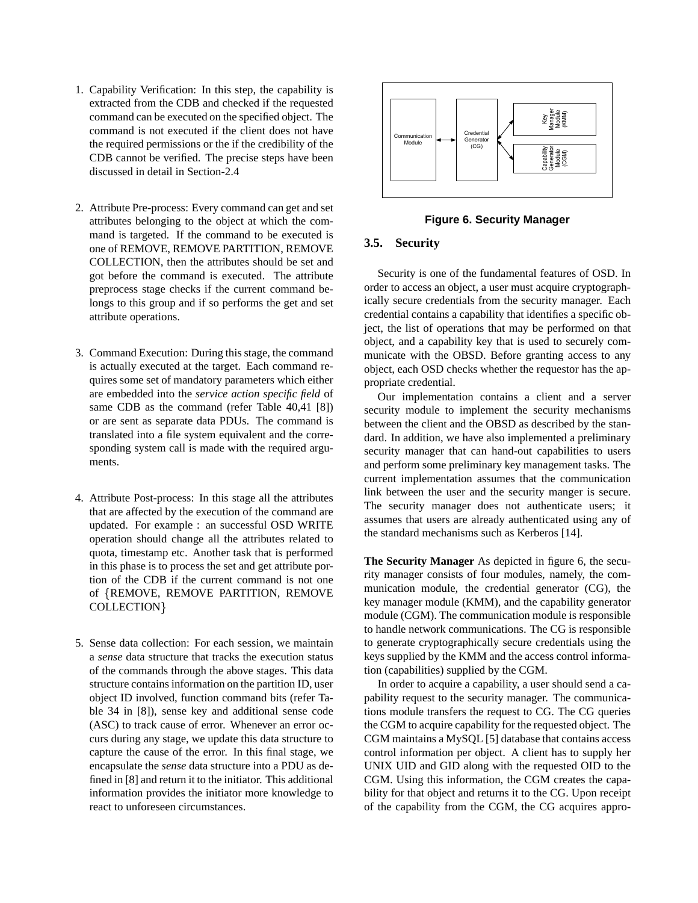- 1. Capability Verification: In this step, the capability is extracted from the CDB and checked if the requested command can be executed on the specified object. The command is not executed if the client does not have the required permissions or the if the credibility of the CDB cannot be verified. The precise steps have been discussed in detail in Section-2.4
- 2. Attribute Pre-process: Every command can get and set attributes belonging to the object at which the command is targeted. If the command to be executed is one of REMOVE, REMOVE PARTITION, REMOVE COLLECTION, then the attributes should be set and got before the command is executed. The attribute preprocess stage checks if the current command belongs to this group and if so performs the get and set attribute operations.
- 3. Command Execution: During this stage, the command is actually executed at the target. Each command requires some set of mandatory parameters which either are embedded into the *service action specific field* of same CDB as the command (refer Table 40,41 [8]) or are sent as separate data PDUs. The command is translated into a file system equivalent and the corresponding system call is made with the required arguments.
- 4. Attribute Post-process: In this stage all the attributes that are affected by the execution of the command are updated. For example : an successful OSD WRITE operation should change all the attributes related to quota, timestamp etc. Another task that is performed in this phase is to process the set and get attribute portion of the CDB if the current command is not one of REMOVE, REMOVE PARTITION, REMOVE COLLECTION
- 5. Sense data collection: For each session, we maintain a *sense* data structure that tracks the execution status of the commands through the above stages. This data structure contains information on the partition ID, user object ID involved, function command bits (refer Table 34 in [8]), sense key and additional sense code (ASC) to track cause of error. Whenever an error occurs during any stage, we update this data structure to capture the cause of the error. In this final stage, we encapsulate the *sense* data structure into a PDU as defined in [8] and return it to the initiator. This additional information provides the initiator more knowledge to react to unforeseen circumstances.



**Figure 6. Security Manager**

## **3.5. Security**

Security is one of the fundamental features of OSD. In order to access an object, a user must acquire cryptographically secure credentials from the security manager. Each credential contains a capability that identifies a specific object, the list of operations that may be performed on that object, and a capability key that is used to securely communicate with the OBSD. Before granting access to any object, each OSD checks whether the requestor has the appropriate credential.

Our implementation contains a client and a server security module to implement the security mechanisms between the client and the OBSD as described by the standard. In addition, we have also implemented a preliminary security manager that can hand-out capabilities to users and perform some preliminary key management tasks. The current implementation assumes that the communication link between the user and the security manger is secure. The security manager does not authenticate users; it assumes that users are already authenticated using any of the standard mechanisms such as Kerberos [14].

**The Security Manager** As depicted in figure 6, the security manager consists of four modules, namely, the communication module, the credential generator (CG), the key manager module (KMM), and the capability generator module (CGM). The communication module is responsible to handle network communications. The CG is responsible to generate cryptographically secure credentials using the keys supplied by the KMM and the access control information (capabilities) supplied by the CGM.

In order to acquire a capability, a user should send a capability request to the security manager. The communications module transfers the request to CG. The CG queries the CGM to acquire capability for the requested object. The CGM maintains a MySQL [5] database that contains access control information per object. A client has to supply her UNIX UID and GID along with the requested OID to the CGM. Using this information, the CGM creates the capability for that object and returns it to the CG. Upon receipt of the capability from the CGM, the CG acquires appro-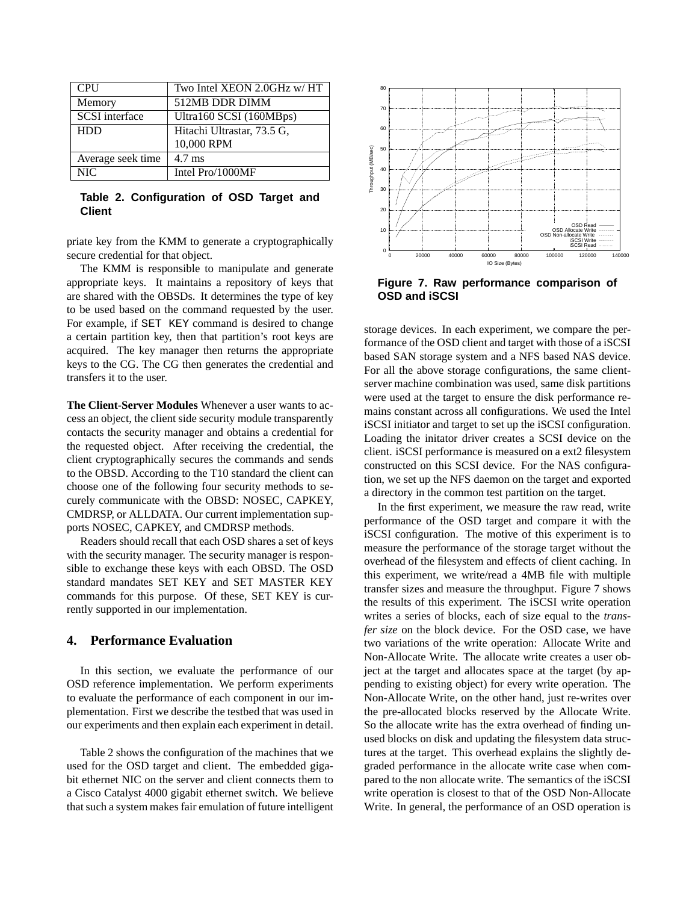| <b>CPU</b>            | Two Intel XEON 2.0GHz w/ HT |
|-----------------------|-----------------------------|
| Memory                | 512MB DDR DIMM              |
| <b>SCSI</b> interface | Ultra160 SCSI (160MBps)     |
| <b>HDD</b>            | Hitachi Ultrastar, 73.5 G,  |
|                       | 10,000 RPM                  |
| Average seek time     | 4.7 ms                      |
| NIC.                  | Intel Pro/1000MF            |

**Table 2. Configuration of OSD Target and Client**

priate key from the KMM to generate a cryptographically secure credential for that object.

The KMM is responsible to manipulate and generate appropriate keys. It maintains a repository of keys that are shared with the OBSDs. It determines the type of key to be used based on the command requested by the user. For example, if SET KEY command is desired to change a certain partition key, then that partition's root keys are acquired. The key manager then returns the appropriate keys to the CG. The CG then generates the credential and transfers it to the user.

**The Client-Server Modules** Whenever a user wants to access an object, the client side security module transparently contacts the security manager and obtains a credential for the requested object. After receiving the credential, the client cryptographically secures the commands and sends to the OBSD. According to the T10 standard the client can choose one of the following four security methods to securely communicate with the OBSD: NOSEC, CAPKEY, CMDRSP, or ALLDATA. Our current implementation supports NOSEC, CAPKEY, and CMDRSP methods.

Readers should recall that each OSD shares a set of keys with the security manager. The security manager is responsible to exchange these keys with each OBSD. The OSD standard mandates SET KEY and SET MASTER KEY commands for this purpose. Of these, SET KEY is currently supported in our implementation.

# **4. Performance Evaluation**

In this section, we evaluate the performance of our OSD reference implementation. We perform experiments to evaluate the performance of each component in our implementation. First we describe the testbed that was used in our experiments and then explain each experiment in detail.

Table 2 shows the configuration of the machines that we used for the OSD target and client. The embedded gigabit ethernet NIC on the server and client connects them to a Cisco Catalyst 4000 gigabit ethernet switch. We believe that such a system makes fair emulation of future intelligent



**Figure 7. Raw performance comparison of OSD and iSCSI**

storage devices. In each experiment, we compare the performance of the OSD client and target with those of a iSCSI based SAN storage system and a NFS based NAS device. For all the above storage configurations, the same clientserver machine combination was used, same disk partitions were used at the target to ensure the disk performance remains constant across all configurations. We used the Intel iSCSI initiator and target to set up the iSCSI configuration. Loading the initator driver creates a SCSI device on the client. iSCSI performance is measured on a ext2 filesystem constructed on this SCSI device. For the NAS configuration, we set up the NFS daemon on the target and exported a directory in the common test partition on the target.

In the first experiment, we measure the raw read, write performance of the OSD target and compare it with the iSCSI configuration. The motive of this experiment is to measure the performance of the storage target without the overhead of the filesystem and effects of client caching. In this experiment, we write/read a 4MB file with multiple transfer sizes and measure the throughput. Figure 7 shows the results of this experiment. The iSCSI write operation writes a series of blocks, each of size equal to the *transfer size* on the block device. For the OSD case, we have two variations of the write operation: Allocate Write and Non-Allocate Write. The allocate write creates a user object at the target and allocates space at the target (by appending to existing object) for every write operation. The Non-Allocate Write, on the other hand, just re-writes over the pre-allocated blocks reserved by the Allocate Write. So the allocate write has the extra overhead of finding unused blocks on disk and updating the filesystem data structures at the target. This overhead explains the slightly degraded performance in the allocate write case when compared to the non allocate write. The semantics of the iSCSI write operation is closest to that of the OSD Non-Allocate Write. In general, the performance of an OSD operation is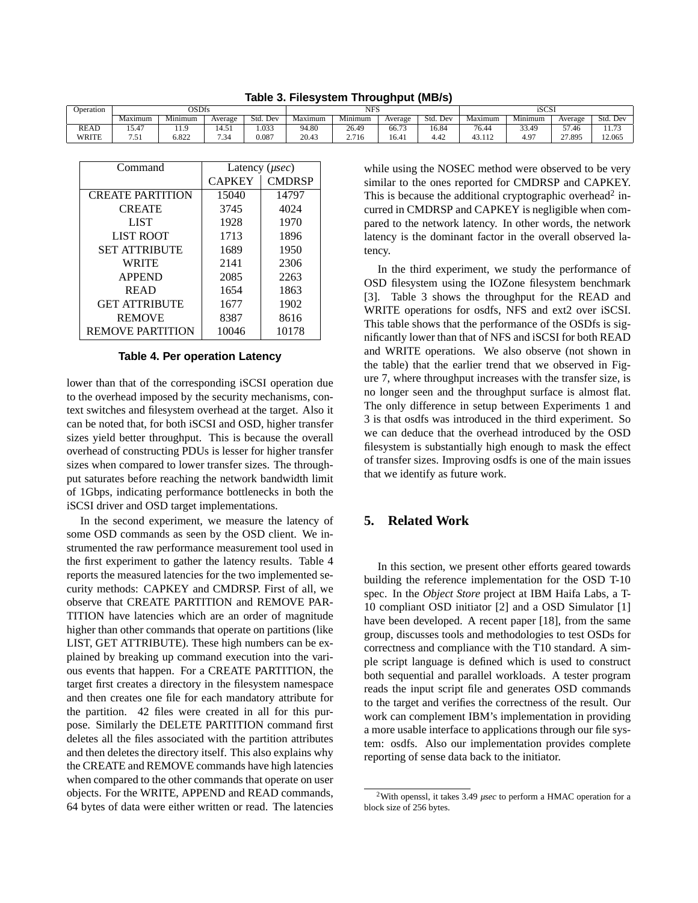**Table 3. Filesystem Throughput (MB/s)**

| Operation   | OSDfs                  |         |                | <b>NFS</b> |         |         | iSCSI   |             |         |                |              |             |
|-------------|------------------------|---------|----------------|------------|---------|---------|---------|-------------|---------|----------------|--------------|-------------|
|             | Maxımum                | Mınımum | Average        | Dev<br>Std | Maximum | Minimum | Average | Dev<br>Std. | Maximum | Minimum        | Average      | Std.<br>Dev |
| <b>READ</b> | $\overline{A}$<br>15.4 | .       | ، د.۴۰         | .033       | 94.80   | 26.49   | 66.73   | 6.84        | 76.44   | $\sim$<br>3.49 | $-1$<br>'.46 | $\sim$<br>. |
| WRITE       | ים ח<br>، د .          | 6.822   | 734<br>$\cdot$ | 0.087      | 20.43   | 2.716   | 16.41   | 4.42        | 43.112  | 4.97           | 27.895       | 12.065      |

| Command                 | Latency $(\mu \text{sec})$ |               |  |
|-------------------------|----------------------------|---------------|--|
|                         | <b>CAPKEY</b>              | <b>CMDRSP</b> |  |
| <b>CREATE PARTITION</b> | 15040                      | 14797         |  |
| <b>CREATE</b>           | 3745                       | 4024          |  |
| <b>LIST</b>             | 1928                       | 1970          |  |
| <b>LIST ROOT</b>        | 1713                       | 1896          |  |
| <b>SET ATTRIBUTE</b>    | 1689                       | 1950          |  |
| WRITE                   | 2141                       | 2306          |  |
| <b>APPEND</b>           | 2085                       | 2263          |  |
| <b>READ</b>             | 1654                       | 1863          |  |
| <b>GET ATTRIBUTE</b>    | 1677                       | 1902          |  |
| <b>REMOVE</b>           | 8387                       | 8616          |  |
| <b>REMOVE PARTITION</b> | 10046                      | 10178         |  |

#### **Table 4. Per operation Latency**

lower than that of the corresponding iSCSI operation due to the overhead imposed by the security mechanisms, context switches and filesystem overhead at the target. Also it can be noted that, for both iSCSI and OSD, higher transfer sizes yield better throughput. This is because the overall overhead of constructing PDUs is lesser for higher transfer sizes when compared to lower transfer sizes. The throughput saturates before reaching the network bandwidth limit of 1Gbps, indicating performance bottlenecks in both the iSCSI driver and OSD target implementations.

In the second experiment, we measure the latency of some OSD commands as seen by the OSD client. We instrumented the raw performance measurement tool used in the first experiment to gather the latency results. Table 4 reports the measured latencies for the two implemented security methods: CAPKEY and CMDRSP. First of all, we observe that CREATE PARTITION and REMOVE PAR-TITION have latencies which are an order of magnitude higher than other commands that operate on partitions (like LIST, GET ATTRIBUTE). These high numbers can be explained by breaking up command execution into the various events that happen. For a CREATE PARTITION, the target first creates a directory in the filesystem namespace and then creates one file for each mandatory attribute for the partition. 42 files were created in all for this purpose. Similarly the DELETE PARTITION command first deletes all the files associated with the partition attributes and then deletes the directory itself. This also explains why the CREATE and REMOVE commands have high latencies when compared to the other commands that operate on user objects. For the WRITE, APPEND and READ commands, 64 bytes of data were either written or read. The latencies

while using the NOSEC method were observed to be very similar to the ones reported for CMDRSP and CAPKEY. This is because the additional cryptographic overhead<sup>2</sup> incurred in CMDRSP and CAPKEY is negligible when compared to the network latency. In other words, the network latency is the dominant factor in the overall observed latency.

In the third experiment, we study the performance of OSD filesystem using the IOZone filesystem benchmark [3]. Table 3 shows the throughput for the READ and WRITE operations for osdfs, NFS and ext2 over iSCSI. This table shows that the performance of the OSDfs is significantly lower than that of NFS and iSCSI for both READ and WRITE operations. We also observe (not shown in the table) that the earlier trend that we observed in Figure 7, where throughput increases with the transfer size, is no longer seen and the throughput surface is almost flat. The only difference in setup between Experiments 1 and 3 is that osdfs was introduced in the third experiment. So we can deduce that the overhead introduced by the OSD filesystem is substantially high enough to mask the effect of transfer sizes. Improving osdfs is one of the main issues that we identify as future work.

# **5. Related Work**

In this section, we present other efforts geared towards building the reference implementation for the OSD T-10 spec. In the *Object Store* project at IBM Haifa Labs, a T-10 compliant OSD initiator [2] and a OSD Simulator [1] have been developed. A recent paper [18], from the same group, discusses tools and methodologies to test OSDs for correctness and compliance with the T10 standard. A simple script language is defined which is used to construct both sequential and parallel workloads. A tester program reads the input script file and generates OSD commands to the target and verifies the correctness of the result. Our work can complement IBM's implementation in providing a more usable interface to applications through our file system: osdfs. Also our implementation provides complete reporting of sense data back to the initiator.

<sup>&</sup>lt;sup>2</sup>With openssl, it takes 3.49  $\mu$ sec to perform a HMAC operation for a block size of 256 bytes.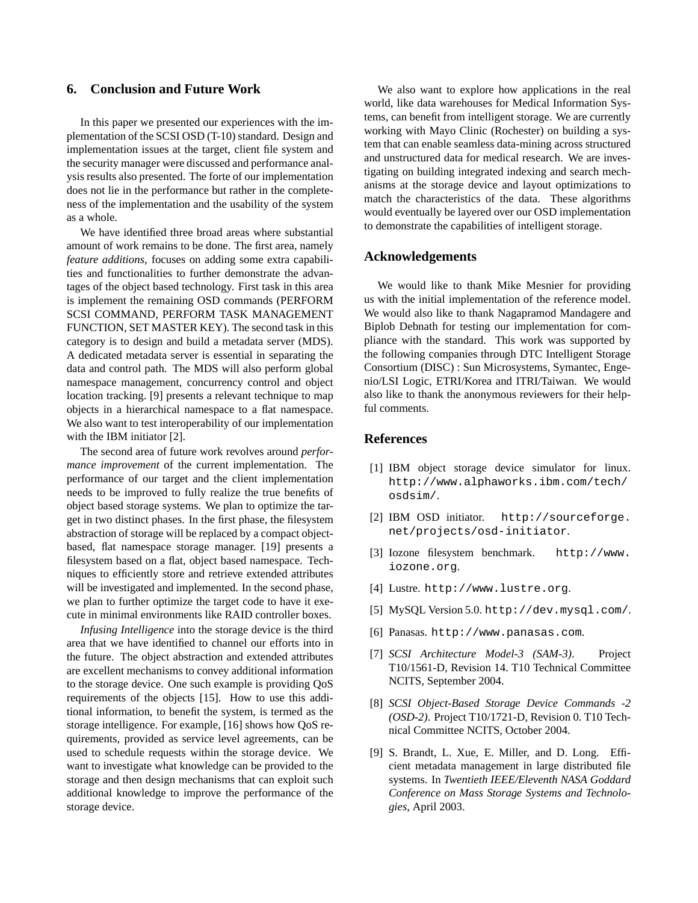# **6. Conclusion and Future Work**

In this paper we presented our experiences with the implementation of the SCSI OSD (T-10) standard. Design and implementation issues at the target, client file system and the security manager were discussed and performance analysis results also presented. The forte of our implementation does not lie in the performance but rather in the completeness of the implementation and the usability of the system as a whole.

We have identified three broad areas where substantial amount of work remains to be done. The first area, namely *feature additions*, focuses on adding some extra capabilities and functionalities to further demonstrate the advantages of the object based technology. First task in this area is implement the remaining OSD commands (PERFORM SCSI COMMAND, PERFORM TASK MANAGEMENT FUNCTION, SET MASTER KEY). The second task in this category is to design and build a metadata server (MDS). A dedicated metadata server is essential in separating the data and control path. The MDS will also perform global namespace management, concurrency control and object location tracking. [9] presents a relevant technique to map objects in a hierarchical namespace to a flat namespace. We also want to test interoperability of our implementation with the IBM initiator [2].

The second area of future work revolves around *performance improvement* of the current implementation. The performance of our target and the client implementation needs to be improved to fully realize the true benefits of object based storage systems. We plan to optimize the target in two distinct phases. In the first phase, the filesystem abstraction of storage will be replaced by a compact objectbased, flat namespace storage manager. [19] presents a filesystem based on a flat, object based namespace. Techniques to efficiently store and retrieve extended attributes will be investigated and implemented. In the second phase, we plan to further optimize the target code to have it execute in minimal environments like RAID controller boxes.

*Infusing Intelligence* into the storage device is the third area that we have identified to channel our efforts into in the future. The object abstraction and extended attributes are excellent mechanisms to convey additional information to the storage device. One such example is providing QoS requirements of the objects [15]. How to use this additional information, to benefit the system, is termed as the storage intelligence. For example, [16] shows how QoS requirements, provided as service level agreements, can be used to schedule requests within the storage device. We want to investigate what knowledge can be provided to the storage and then design mechanisms that can exploit such additional knowledge to improve the performance of the storage device.

We also want to explore how applications in the real world, like data warehouses for Medical Information Systems, can benefit from intelligent storage. We are currently working with Mayo Clinic (Rochester) on building a system that can enable seamless data-mining across structured and unstructured data for medical research. We are investigating on building integrated indexing and search mechanisms at the storage device and layout optimizations to match the characteristics of the data. These algorithms would eventually be layered over our OSD implementation to demonstrate the capabilities of intelligent storage.

# **Acknowledgements**

We would like to thank Mike Mesnier for providing us with the initial implementation of the reference model. We would also like to thank Nagapramod Mandagere and Biplob Debnath for testing our implementation for compliance with the standard. This work was supported by the following companies through DTC Intelligent Storage Consortium (DISC) : Sun Microsystems, Symantec, Engenio/LSI Logic, ETRI/Korea and ITRI/Taiwan. We would also like to thank the anonymous reviewers for their helpful comments.

# **References**

- [1] IBM object storage device simulator for linux. http://www.alphaworks.ibm.com/tech/ osdsim/.
- [2] IBM OSD initiator. http://sourceforge. net/projects/osd-initiator.
- [3] Iozone filesystem benchmark. http://www. iozone.org.
- [4] Lustre. http://www.lustre.org.
- [5] MySQL Version 5.0. http://dev.mysql.com/.
- [6] Panasas. http://www.panasas.com.
- [7] *SCSI Architecture Model-3 (SAM-3)*. Project T10/1561-D, Revision 14. T10 Technical Committee NCITS, September 2004.
- [8] *SCSI Object-Based Storage Device Commands -2 (OSD-2)*. Project T10/1721-D, Revision 0. T10 Technical Committee NCITS, October 2004.
- [9] S. Brandt, L. Xue, E. Miller, and D. Long. Efficient metadata management in large distributed file systems. In *Twentieth IEEE/Eleventh NASA Goddard Conference on Mass Storage Systems and Technologies*, April 2003.